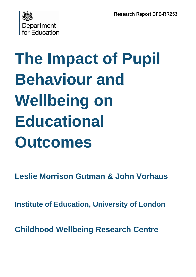

# **The Impact of Pupil Behaviour and Wellbeing on Educational Outcomes**

**Leslie Morrison Gutman & John Vorhaus**

**Institute of Education, University of London**

**Childhood Wellbeing Research Centre**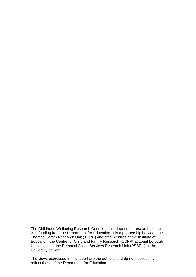The Childhood Wellbeing Research Centre is an independent research centre with funding from the Department for Education. It is a partnership between the Thomas Coram Research Unit (TCRU) and other centres at the Institute of Education, the Centre for Child and Family Research (CCFR) at Loughborough University and the Personal Social Services Research Unit (PSSRU) at the University of Kent.

The views expressed in this report are the authors' and do not necessarily reflect those of the Department for Education.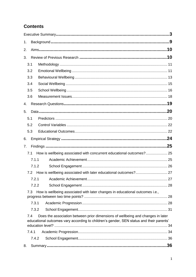# **Contents**

| 1. |       |                                                                                                                                                                            |            |
|----|-------|----------------------------------------------------------------------------------------------------------------------------------------------------------------------------|------------|
| 2. |       |                                                                                                                                                                            |            |
| 3. |       |                                                                                                                                                                            |            |
|    | 3.1   |                                                                                                                                                                            |            |
|    | 3.2   |                                                                                                                                                                            |            |
|    | 3.3   |                                                                                                                                                                            |            |
|    | 3.4   |                                                                                                                                                                            |            |
|    | 3.5   |                                                                                                                                                                            |            |
|    | 3.6   |                                                                                                                                                                            |            |
| 4. |       |                                                                                                                                                                            |            |
| 5. |       |                                                                                                                                                                            |            |
|    | 5.1   |                                                                                                                                                                            |            |
|    | 5.2   |                                                                                                                                                                            |            |
|    | 5.3   |                                                                                                                                                                            |            |
| 6. |       |                                                                                                                                                                            |            |
|    |       |                                                                                                                                                                            |            |
| 7. |       |                                                                                                                                                                            |            |
|    | 7.1   |                                                                                                                                                                            |            |
|    | 7.1.1 | How is wellbeing associated with concurrent educational outcomes? 25                                                                                                       |            |
|    | 7.1.2 |                                                                                                                                                                            |            |
|    | 7.2   |                                                                                                                                                                            |            |
|    |       | 7.2.1 Academic Achievement                                                                                                                                                 | $\dots$ 27 |
|    | 7.2.2 |                                                                                                                                                                            |            |
|    | 7.3   | How is wellbeing associated with later changes in educational outcomes i.e.,                                                                                               |            |
|    | 7.3.1 |                                                                                                                                                                            |            |
|    | 7.3.2 |                                                                                                                                                                            |            |
|    | 7.4   | Does the association between prior dimensions of wellbeing and changes in later<br>educational outcomes vary according to children's gender, SEN status and their parents' |            |
|    |       |                                                                                                                                                                            |            |
|    | 7.4.1 |                                                                                                                                                                            |            |
| 8. | 7.4.2 |                                                                                                                                                                            |            |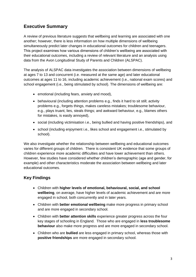## <span id="page-4-0"></span>**Executive Summary**

A review of previous literature suggests that wellbeing and learning are associated with one another; however, there is less information on how multiple dimensions of wellbeing simultaneously predict later changes in educational outcomes for children and teenagers. This project examines how various dimensions of children's wellbeing are associated with their educational outcomes, including a review of relevant literature and an analysis using data from the Avon Longitudinal Study of Parents and Children (ALSPAC).

The analysis of ALSPAC data investigates the association between dimensions of wellbeing at ages 7 to 13 and concurrent (i.e. measured at the same age) and later educational outcomes at ages 11 to 16, including academic achievement (i.e., national exam scores) and school engagement (i.e., being stimulated by school). The dimensions of wellbeing are:

- emotional (including fears, anxiety and mood),
- behavioural (including attention problems e.g., finds it hard to sit still; activity problems e.g., forgets things, makes careless mistakes; troublesome behaviour, e.g., plays truant, lies, steals things; and awkward behaviour, e.g., blames others for mistakes, is easily annoyed),
- social (including victimisation i.e., being bullied and having positive friendships), and
- school (including enjoyment i.e., likes school and engagement i.e., stimulated by school).

We also investigate whether the relationship between wellbeing and educational outcomes varies for different groups of children. There is consistent UK evidence that some groups of children experience more academic difficulties and have lower achievement than others. However, few studies have considered whether children's demographic (age and gender, for example) and other characteristics moderate the association between wellbeing and later educational outcomes.

## **Key Findings**

- Children with **higher levels of emotional, behavioural, social, and school wellbeing**, on average, have higher levels of academic achievement and are more engaged in school, both concurrently and in later years.
- Children with **better emotional wellbeing** make more progress in primary school and are more engaged in secondary school.
- Children with **better attention skills** experience greater progress across the four key stages of schooling in England. Those who are engaged in **less troublesome behaviour** also make more progress and are more engaged in secondary school.
- Children who are **bullied** are less engaged in primary school, whereas those with **positive friendships** are more engaged in secondary school.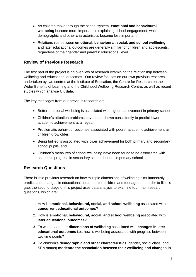- As children move through the school system, **emotional and behavioural wellbeing** become more important in explaining school engagement, while demographic and other characteristics become less important.
- Relationships between **emotional, behavioural, social, and school wellbeing** and later educational outcomes are generally similar for children and adolescents, regardless of their gender and parents' educational level.

## **Review of Previous Research**

The first part of the project is an overview of research examining the relationship between wellbeing and educational outcomes. Our review focuses on our own previous research undertaken by two centres at the Institute of Education, the Centre for Research on the Wider Benefits of Learning and the Childhood Wellbeing Research Centre, as well as recent studies which analyse UK data.

The key messages from our previous research are:

- Better emotional wellbeing is associated with higher achievement in primary school,
- Children's attention problems have been shown consistently to predict lower academic achievement at all ages,
- Problematic behaviour becomes associated with poorer academic achievement as children grow older,
- Being bullied is associated with lower achievement for both primary and secondary school pupils, and
- Children's measures of school wellbeing have been found to be associated with academic progress in secondary school, but not in primary school.

## **Research Questions**

There is little previous research on how multiple dimensions of wellbeing simultaneously predict later changes in educational outcomes for children and teenagers. In order to fill this gap, the second stage of this project uses data analysis to examine four main research questions, which are:

- 1. How is **emotional, behavioural, social, and school wellbeing** associated with **concurrent educational outcomes**?
- 2. How is **emotional, behavioural, social, and school wellbeing** associated with **later educational outcomes**?
- 3. To what extent are **dimensions of wellbeing** associated with **changes in later educational outcomes** i.e., how is wellbeing associated with progress between two time points?
- 4. Do children's **demographic and other characteristics** (gender, social class, and SEN status) **moderate the association between their wellbeing and changes in**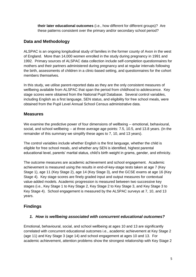**their later educational outcomes** (i.e., how different for different groups)? Are these patterns consistent over the primary and/or secondary school period?

## **Data and Methodology**

ALSPAC is an ongoing longitudinal study of families in the former county of Avon in the west of England. More than 14,000 women enrolled in the study during pregnancy in 1991 and 1992. Primary sources of ALSPAC data collection include self-completion questionnaires for mothers and their partners administered during pregnancy and at regular intervals following the birth, assessments of children in a clinic-based setting, and questionnaires for the cohort members themselves.

In this study, we utilise parent-reported data as they are the only consistent measures of wellbeing available from ALSPAC that span the period from childhood to adolescence. Key stage scores were obtained from the National Pupil Database. Several control variables, including English as a first language, SEN status, and eligibility for free school meals, were obtained from the Pupil Level Annual School Census administrative data.

## **Measures**

We examine the predictive power of four dimensions of wellbeing -- emotional, behavioural, social, and school wellbeing -- at three average age points: 7.5, 10.5, and 13.8 years. (In the remainder of this summary we simplify these ages to 7, 10, and 13 years).

The control variables include whether English is the first language, whether the child is eligible for free school meals, and whether any SEN is identified, highest parental educational level, parents' marital status, child's birth weight in grams, gender, and ethnicity.

The outcome measures are academic achievement and school engagement. Academic achievement is measured using the results in end-of-key-stage tests taken at age 7 (Key Stage 1), age 11 (Key Stage 2), age 14 (Key Stage 3), and the GCSE exams at age 16 (Key Stage 4). Key stage scores are finely graded input and output measures for contextual value-added models. Academic progression is measured between two successive key stages (i.e., Key Stage 1 to Key Stage 2, Key Stage 2 to Key Stage 3, and Key Stage 3 to Key Stage 4). School engagement is measured by the ALSPAC surveys at 7, 10, and 13 years.

## **Findings**

## *1. How is wellbeing associated with concurrent educational outcomes?*

Emotional, behavioural, social, and school wellbeing at ages 10 and 13 are significantly correlated with concurrent educational outcomes i.e., academic achievement at Key Stage 2 (age 11) and Key Stage 3 (age 14) and school engagement at ages 10 and 13. For academic achievement, attention problems show the strongest relationship with Key Stage 2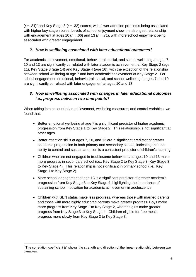$(r = .31)^2$  and Key Stage 3 ( $r = .32$ ) scores, with fewer attention problems being associated with higher key stage scores. Levels of school enjoyment show the strongest relationship with engagement at ages 10 ( $r = .66$ ) and 13 ( $r = .71$ ), with more school enjoyment being associated with greater engagement.

### *2. How is wellbeing associated with later educational outcomes?*

For academic achievement, emotional, behavioural, social, and school wellbeing at ages 7, 10 and 13 are significantly correlated with later academic achievement at Key Stage 2 (age 11), Key Stage 3 (age 14) and Key Stage 4 (age 16), with the exception of the relationship between school wellbeing at age 7 and later academic achievement at Key Stage 2. For school engagement, emotional, behavioural, social, and school wellbeing at ages 7 and 10 are significantly correlated with later engagement at ages 10 and 13.

## *3. How is wellbeing associated with changes in later educational outcomes i.e., progress between two time points?*

When taking into account prior achievement, wellbeing measures, and control variables, we found that:

- Better emotional wellbeing at age 7 is a significant predictor of higher academic progression from Key Stage 1 to Key Stage 2. This relationship is not significant at other ages.
- Better attention skills at ages 7, 10, and 13 are a significant predictor of greater academic progression in both primary and secondary school, indicating that the ability to control and sustain attention is a consistent predictor of children's learning.
- Children who are not engaged in troublesome behaviours at ages 10 and 13 make more progress in secondary school (i.e., Key Stage 2 to Key Stage 3; Key Stage 3 to Key Stage 4).This relationship is not significant in primary school (i.e., Key Stage 1 to Key Stage 2).
- More school engagement at age 13 is a significant predictor of greater academic progression from Key Stage 3 to Key Stage 4, highlighting the importance of sustaining school motivation for academic achievement in adolescence.
- Children with SEN status make less progress, whereas those with married parents and those with more highly educated parents make greater progress. Boys make more progress from Key Stage 1 to Key Stage 2, whereas girls make greater progress from Key Stage 3 to Key Stage 4. Children eligible for free meals progress more slowly from Key Stage 2 to Key Stage 3.

**.** 

 $2$  The correlation coefficient ( $r$ ) shows the strength and direction of the linear relationship between two variables.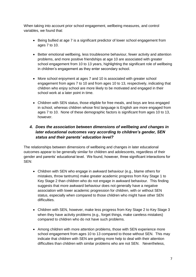When taking into account prior school engagement, wellbeing measures, and control variables, we found that:

- Being bullied at age 7 is a significant predictor of lower school engagement from ages 7 to 10.
- Better emotional wellbeing, less troublesome behaviour, fewer activity and attention problems, and more positive friendships at age 10 are associated with greater school engagement from 10 to 13 years, highlighting the significant role of wellbeing in children's engagement as they enter secondary school.
- More school enjoyment at ages 7 and 10 is associated with greater school engagement from ages 7 to 10 and from ages 10 to 13, respectively, indicating that children who enjoy school are more likely to be motivated and engaged in their school work at a later point in time.
- Children with SEN status, those eligible for free meals, and boys are less engaged in school, whereas children whose first language is English are more engaged from ages 7 to 10. None of these demographic factors is significant from ages 10 to 13, however.

## *4. Does the association between dimensions of wellbeing and changes in later educational outcomes vary according to children's gender, SEN status and their parents' education level?*

The relationships between dimensions of wellbeing and changes in later educational outcomes appear to be generally similar for children and adolescents, regardless of their gender and parents' educational level. We found, however, three significant interactions for SEN:

- Children with SEN who engage in awkward behaviour (e.g., blame others for mistakes, throw tantrums) make greater academic progress from Key Stage 1 to Key Stage 2 than children who do not engage in awkward behaviour. This finding suggests that more awkward behaviour does not generally have a negative association with lower academic progression for children, with or without SEN status, especially when compared to those children who might have other SEN difficulties.
- Children with SEN, however, make less progress from Key Stage 2 to Key Stage 3 when they have activity problems (e.g., forget things, make careless mistakes) compared to children who do not have such problems.
- Among children with more attention problems, those with SEN experience more school engagement from ages 10 to 13 compared to those without SEN. This may indicate that children with SEN are getting more help to deal with their attention difficulties than children with similar problems who are not SEN. Nevertheless,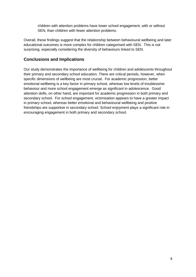children with attention problems have lower school engagement, with or without SEN, than children with fewer attention problems.

Overall, these findings suggest that the relationship between behavioural wellbeing and later educational outcomes is more complex for children categorised with SEN. This is not surprising, especially considering the diversity of behaviours linked to SEN.

## **Conclusions and Implications**

Our study demonstrates the importance of wellbeing for children and adolescents throughout their primary and secondary school education. There are critical periods, however, when specific dimensions of wellbeing are most crucial. For academic progression, better emotional wellbeing is a key factor in primary school, whereas low levels of troublesome behaviour and more school engagement emerge as significant in adolescence. Good attention skills, on other hand, are important for academic progression in both primary and secondary school. For school engagement, victimisation appears to have a greater impact in primary school, whereas better emotional and behavioural wellbeing and positive friendships are supportive in secondary school. School enjoyment plays a significant role in encouraging engagement in both primary and secondary school.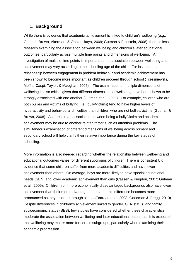## <span id="page-10-0"></span>**1. Background**

While there is evidence that academic achievement is linked to children's wellbeing (e.g., Gutman, Brown, Akerman, & Obolenskaya, 2009; Gutman & Feinstein, 2008), there is less research examining the association between wellbeing and children's later educational outcomes, particularly across multiple time points and dimensions of wellbeing. An investigation of multiple time points is important as the association between wellbeing and achievement may vary according to the schooling age of the child. For instance, the relationship between engagement in problem behaviour and academic achievement has been shown to become more important as children proceed through school (Trzesniewski, Moffitt, Caspi, Taylor, & Maughan, 2006). The examination of multiple dimensions of wellbeing is also critical given that different dimensions of wellbeing have been shown to be strongly associated with one another (Gutman et al., 2009). For example, children who are both bullies and victims of bullying (i.e., bully/victims) tend to have higher levels of hyperactivity and behavioural difficulties than children who are not bullies/victims (Gutman & Brown, 2008). As a result, an association between being a bully/victim and academic achievement may be due to another related factor such as attention problems. The simultaneous examination of different dimensions of wellbeing across primary and secondary school will help clarify their relative importance during the key stages of schooling.

More information is also needed regarding whether the relationship between wellbeing and educational outcomes varies for different subgroups of children. There is consistent UK evidence that some children suffer from more academic difficulties and have lower achievement than others. On average, boys are more likely to have special educational needs (SEN) and lower academic achievement than girls (Cassen & Kingdon, 2007; Gutman et al., 2009). Children from more economically disadvantaged backgrounds also have lower achievement than their more advantaged peers and this difference becomes more pronounced as they proceed through school (Barreau et al. 2008; Goodman & Gregg, 2010). Despite differences in children's achievement linked to gender, SEN status, and family socioeconomic status (SES), few studies have considered whether these characteristics moderate the association between wellbeing and later educational outcomes. It is expected that wellbeing may matter more for certain subgroups, particularly when examining their academic progression.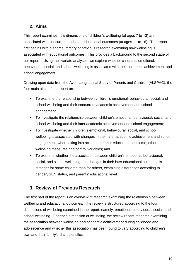## <span id="page-11-0"></span>**2. Aims**

This report examines how dimensions of children's wellbeing (at ages 7 to 13) are associated with concurrent and later educational outcomes (at ages 11 to 16). The report first begins with a short summary of previous research examining how wellbeing is associated with educational outcomes. This provides a background to the second stage of our report. Using multivariate analyses, we explore whether children's emotional, behavioural, social, and school wellbeing is associated with their academic achievement and school engagement.

Drawing upon data from the Avon Longitudinal Study of Parents and Children (ALSPAC), the four main aims of the report are:

- To examine the relationship between children's emotional, behavioural, social, and school wellbeing and their concurrent academic achievement and school engagement;
- To investigate the relationship between children's emotional, behavioural, social, and school wellbeing and their later academic achievement and school engagement;
- To investigate whether children's emotional, behavioural, social, and school wellbeing is associated with changes in their later academic achievement and school engagement, when taking into account the prior educational outcome, other wellbeing measures and control variables; and
- To examine whether the association between children's emotional, behavioural, social, and school wellbeing and changes in their later educational outcomes is stronger for some children than for others, examining differences according to gender, SEN status, and parents' educational level.

## <span id="page-11-1"></span>**3. Review of Previous Research**

The first part of the report is an overview of research examining the relationship between wellbeing and educational outcomes. The review is structured according to the four dimensions of wellbeing examined in the report, namely, emotional, behavioural, social, and school wellbeing. For each dimension of wellbeing, we review recent research examining the association between wellbeing and academic achievement during childhood and adolescence and whether this association has been found to vary according to children's own and their family's characteristics.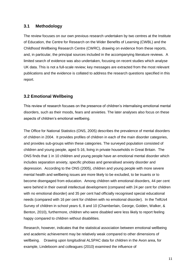## <span id="page-12-0"></span>**3.1 Methodology**

The review focuses on our own previous research undertaken by two centres at the Institute of Education, the Centre for Research on the Wider Benefits of Learning (CWBL) and the Childhood Wellbeing Research Centre (CWRC), drawing on evidence from these reports, and, in particular, the principal sources included in the accompanying literature reviews. A limited search of evidence was also undertaken, focusing on recent studies which analyse UK data. This is not a full-scale review; key messages are extracted from the most relevant publications and the evidence is collated to address the research questions specified in this report.

## <span id="page-12-1"></span>**3.2 Emotional Wellbeing**

This review of research focuses on the presence of children's internalising emotional mental disorders, such as their moods, fears and anxieties. The later analyses also focus on these aspects of children's emotional wellbeing.

The Office for National Statistics (ONS, 2005) describes the prevalence of mental disorders of children in 2004. It provides profiles of children in each of the main disorder categories, and provides sub-groups within these categories. The surveyed population consisted of children and young people, aged 5-16, living in private households in Great Britain. The ONS finds that 1 in 10 children and young people have an emotional mental disorder which includes separation anxiety, specific phobias and generalised anxiety disorder and depression. According to the ONS (2005), children and young people with more severe mental health and wellbeing issues are more likely to be excluded, to be truants or to become disengaged from education. Among children with emotional disorders, 44 per cent were behind in their overall intellectual development (compared with 24 per cent for children with no emotional disorder) and 35 per cent had officially recognised special educational needs (compared with 16 per cent for children with no emotional disorder). In the TellUs4 Survey of children in school years 6, 8 and 10 (Chamberlain, George, Golden, Walker, & Benton, 2010), furthermore, children who were disabled were less likely to report feeling happy compared to children without disabilities.

Research, however, indicates that the statistical association between emotional wellbeing and academic achievement may be relatively weak compared to other dimensions of wellbeing. Drawing upon longitudinal ALSPAC data for children in the Avon area, for example, Lindeboom and colleagues (2010) examined the influence of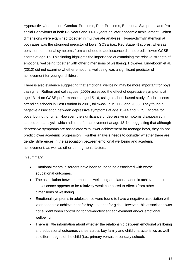Hyperactivity/Inattention, Conduct Problems, Peer Problems, Emotional Symptoms and Prosocial Behaviours at both 6-9 years and 11-13 years on later academic achievement. When dimensions were examined together in multivariate analyses, Hyperactivity/Inattention at both ages was the strongest predictor of lower GCSE (i.e., Key Stage 4) scores, whereas persistent emotional symptoms from childhood to adolescence did not predict lower GCSE scores at age 16. This finding highlights the importance of examining the relative strength of emotional wellbeing together with other dimensions of wellbeing. However, Lindeboom et al. (2010) did not examine whether emotional wellbeing was a significant predictor of achievement for younger children.

There is also evidence suggesting that emotional wellbeing may be more important for boys than girls. Rothon and colleagues (2009) assessed the effect of depressive symptoms at age 13-14 on GCSE performance at age 15-16, using a school based study of adolescents attending schools in East London in 2001, followed-up in 2003 and 2005. They found a negative association between depressive symptoms at age 13-14 and GCSE scores for boys, but not for girls. However, the significance of depressive symptoms disappeared in subsequent analysis which adjusted for achievement at age 13-14, suggesting that although depressive symptoms are associated with lower achievement for teenage boys, they do not predict lower academic progression. Further analysis needs to consider whether there are gender differences in the association between emotional wellbeing and academic achievement, as well as other demographic factors.

In summary:

- Emotional mental disorders have been found to be associated with worse educational outcomes.
- The association between emotional wellbeing and later academic achievement in adolescence appears to be relatively weak compared to effects from other dimensions of wellbeing.
- Emotional symptoms in adolescence were found to have a negative association with later academic achievement for boys, but not for girls. However, this association was not evident when controlling for pre-adolescent achievement and/or emotional wellbeing.
- There is little information about whether the relationship between emotional wellbeing and educational outcomes varies across key family and child characteristics as well as different ages of the child (i.e., primary versus secondary school).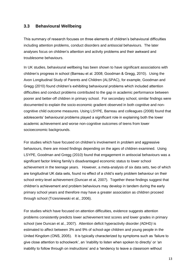## <span id="page-14-0"></span>**3.3 Behavioural Wellbeing**

This summary of research focuses on three elements of children's behavioural difficulties including attention problems, conduct disorders and antisocial behaviours. The later analyses focus on children's attention and activity problems and their awkward and troublesome behaviours.

In UK studies, behavioural wellbeing has been shown to have significant associations with children's progress in school (Barreau et al. 2008; Goodman & Gregg, 2010). Using the Avon Longitudinal Study of Parents and Children (ALSPAC), for example, Goodman and Gregg (2010) found children's exhibiting behavioural problems which included attention difficulties and conduct problems contributed to the gap in academic performance between poorer and better-off children in primary school. For secondary school, similar findings were documented to explain the socio-economic gradient observed in both cognitive and noncognitive child outcome measures. Using LSYPE, Barreau and colleagues (2008) found that adolescents' behavioural problems played a significant role in explaining both the lower academic achievement and worse non-cognitive outcomes of teens from lower socioeconomic backgrounds.

For studies which have focused on children's involvement in problem and aggressive behaviours, there are mixed findings depending on the ages of children examined. Using LSYPE, Goodman and Gregg (2010) found that engagement in antisocial behaviours was a significant factor linking family's disadvantaged economic status to lower school achievement in the teenage years. However, a meta-analysis of six data sets, two of which are longitudinal UK data sets, found no effect of a child's early problem behaviour on their school entry-level achievement (Duncan et al, 2007). Together these findings suggest that children's achievement and problem behaviours may develop in tandem during the early primary school years and therefore may have a greater association as children proceed through school (Trzesniewski et al., 2006).

For studies which have focused on attention difficulties, evidence suggests attention problems consistently predicts lower achievement test scores and lower grades in primary school (see Duncan et al., 2007). Attention deficit hyperactivity disorder *(*ADHD*)* is estimated to affect between 3% and 9% of school-age children and young people in the United Kingdom (ONS, 2005). It is typically characterized by symptoms such as 'failure to give close attention to schoolwork', an 'inability to listen when spoken to directly' or 'an inability to follow through on instructions' and a 'tendency to leave a classroom without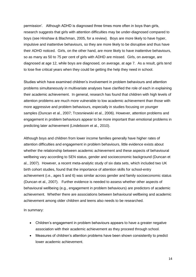permission'. Although ADHD is diagnosed three times more often in boys than girls, research suggests that girls with attention difficulties may be under-diagnosed compared to boys (see Hinshaw & Blachman, 2005, for a review). Boys are more likely to have hyper, impulsive and inattentive behaviours, so they are more likely to be disruptive and thus have their ADHD noticed. Girls, on the other hand, are more likely to have inattentive behaviours, so as many as 50 to 75 per cent of girls with ADHD are missed. Girls, on average, are diagnosed at age 12, while boys are diagnosed, on average, at age 7. As a result, girls tend to lose five critical years when they could be getting the help they need in school.

Studies which have examined children's involvement in problem behaviours and attention problems simultaneously in multivariate analyses have clarified the role of each in explaining their academic achievement. In general, research has found that children with high levels of attention problems are much more vulnerable to low academic achievement than those with more aggressive and problem behaviours, especially in studies focusing on younger samples (Duncan et al., 2007; Trzesniewski et al., 2006). However, attention problems and engagement in problem behaviours appear to be more important than emotional problems in predicting later achievement (Lindeboom et al., 2010).

Although boys and children from lower income families generally have higher rates of attention difficulties and engagement in problem behaviours, little evidence exists about whether the relationship between academic achievement and these aspects of behavioural wellbeing vary according to SEN status, gender and socioeconomic background (Duncan et al., 2007). However, a recent meta-analytic study of six data sets, which included two UK birth cohort studies, found that the importance of attention skills for school-entry achievement (i.e., ages 5 and 6) was similar across gender and family socioeconomic status (Duncan et al., 2007). Further evidence is needed to assess whether other aspects of behavioural wellbeing (e.g., engagement in problem behaviours) are predictors of academic achievement. Whether there are associations between behavioural wellbeing and academic achievement among older children and teens also needs to be researched.

In summary:

- Children's engagement in problem behaviours appears to have a greater negative association with their academic achievement as they proceed through school.
- Measures of children's attention problems have been shown consistently to predict lower academic achievement.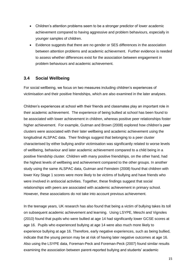- Children's attention problems seem to be a stronger predictor of lower academic achievement compared to having aggressive and problem behaviours, especially in younger samples of children.
- Evidence suggests that there are no gender or SES differences in the association between attention problems and academic achievement. Further evidence is needed to assess whether differences exist for the association between engagement in problem behaviours and academic achievement.

## <span id="page-16-0"></span>**3.4 Social Wellbeing**

For social wellbeing, we focus on two measures including children's experiences of victimisation and their positive friendships, which are also examined in the later analyses.

Children's experiences at school with their friends and classmates play an important role in their academic achievement. The experience of being bullied at school has been found to be associated with lower achievement in children, whereas positive peer relationships foster higher achievement. For example, Gutman and Brown (2008) explored how children's peer clusters were associated with their later wellbeing and academic achievement using the longitudinal ALSPAC data. Their findings suggest that belonging to a peer cluster characterised by either bullying and/or victimisation was significantly related to worse levels of wellbeing, behaviour and later academic achievement compared to a child being in a positive friendship cluster. Children with many positive friendships, on the other hand, had the highest levels of wellbeing and achievement compared to the other groups. In another study using the same ALSPAC data, Gutman and Feinstein (2008) found that children with lower Key Stage 1 scores were more likely to be victims of bullying and have friends who were involved in antisocial activities. Together, these findings suggest that social relationships with peers are associated with academic achievement in primary school. However, these associations do not take into account previous achievement.

In the teenage years, UK research has also found that being a victim of bullying takes its toll on subsequent academic achievement and learning. Using LSYPE, Meschi and Vignoles (2010) found that pupils who were bullied at age 14 had significantly lower GCSE scores at age 16. Pupils who experienced bullying at age 14 were also much more likely to experience bullying at age 16. Therefore, early negative experiences, such as being bullied, indicate that the young person may be at risk of having later negative outcomes at age 16. Also using the LSYPE data, Foreman-Peck and Foreman-Peck (2007) found similar results examining the association between parent-reported bullying and students' academic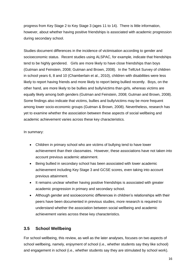progress from Key Stage 2 to Key Stage 3 (ages 11 to 14). There is little information, however, about whether having positive friendships is associated with academic progression during secondary school.

Studies document differences in the incidence of victimisation according to gender and socioeconomic status. Recent studies using ALSPAC, for example, indicate that friendships tend to be highly gendered. Girls are more likely to have close friendships than boys (Gutman and Feinstein, 2008; Gutman and Brown, 2008). In the TellUs4 Survey of children in school years 6, 8 and 10 (Chamberlain et al., 2010), children with disabilities were less likely to report having friends and more likely to report being bullied recently. Boys, on the other hand, are more likely to be bullies and bully/victims than girls, whereas victims are equally likely among both genders (Gutman and Feinstein, 2008; Gutman and Brown, 2008). Some findings also indicate that victims, bullies and bully/victims may be more frequent among lower socio-economic groups (Gutman & Brown, 2008). Nevertheless, research has yet to examine whether the association between these aspects of social wellbeing and academic achievement varies across these key characteristics.

In summary:

- Children in primary school who are victims of bullying tend to have lower achievement than their classmates. However, these associations have not taken into account previous academic attainment.
- Being bullied in secondary school has been associated with lower academic achievement including Key Stage 3 and GCSE scores, even taking into account previous attainment.
- It remains unclear whether having positive friendships is associated with greater academic progression in primary and secondary school.
- Although gender and socioeconomic differences in children's relationships with their peers have been documented in previous studies, more research is required to understand whether the association between social wellbeing and academic achievement varies across these key characteristics.

## <span id="page-17-0"></span>**3.5 School Wellbeing**

For school wellbeing, this review, as well as the later analyses, focuses on two aspects of school wellbeing, namely, enjoyment of school (i.e., whether students say they like school) and engagement in school (i.e., whether students say they are stimulated by school work).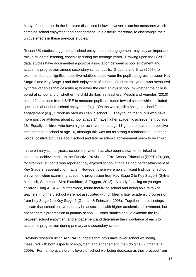Many of the studies in the literature discussed below, however, examine measures which combine school enjoyment and engagement. It is difficult, therefore, to disentangle their unique effects in these previous studies.

Recent UK studies suggest that school enjoyment and engagement may play an important role in students' learning, especially during the teenage years. Drawing upon the LSYPE data, studies have documented a positive association between school enjoyment and academic progression among secondary school pupils. Gibbons and Silva (2008), for example, found a significant positive relationship between the pupil's progress between Key Stage 2 and Key Stage 3 and their enjoyment of school. Student enjoyment was measured by three variables that describe a) whether the child enjoys school, b) whether the child is bored at school and c) whether the child dislikes his teachers. Meschi and Vignoles (2010) used 12 questions from LSYPE to measure pupils' attitudes toward school which included questions about both school enjoyment (e.g., "On the whole, I like being at school.") and engagement (e.g., "I work as hard as I can in school."). They found that pupils who have more positive attitudes about school at age 14 have higher academic achievement by age 16. Equally, children who have higher achievement at age 11 go on to have more positive attitudes about school at age 16, although this was not as strong a relationship. In other words, positive attitudes about school and later academic achievement seem to be linked.

In the primary school years, school enjoyment has also been shown to be linked to academic achievement. In the Effective Provision of Pre-School Education (EPPE) Project, for example, students who reported they enjoyed school at age 11 had better attainment at Key Stage 3, especially for maths. However, there were no significant findings for school enjoyment when examining academic progression from Key Stage 2 to Key Stage 3 (Sylva, Melhuish, Sammons, Siraj-Blatchford, & Taggart, 2012). A study focusing on younger children using ALSPAC, furthermore, found that liking school and being able to talk to teachers in primary school were not associated with children's later academic progression from Key Stage 1 to Key Stage 2 (Gutman & Feinstein, 2008). Together, these findings indicate that school enjoyment may be associated with higher academic achievement, but not academic progression in primary school. Further studies should examine the link between school enjoyment and engagement and determine the importance of each for academic progression during primary and secondary school.

Previous research using ALSPAC suggests that boys have lower school wellbeing, measured with both aspects of enjoyment and engagement, than do girls (Gutman et al., 2009). Furthermore, children's levels of school wellbeing decrease as they proceed from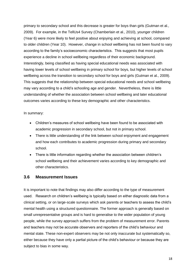primary to secondary school and this decrease is greater for boys than girls (Gutman et al., 2009). For example, in the TellUs4 Survey (Chamberlain et al., 2010), younger children (Year 6) were more likely to feel positive about enjoying and achieving at school, compared to older children (Year 10). However, change in school wellbeing has not been found to vary according to the family's socioeconomic characteristics. This suggests that most pupils experience a decline in school wellbeing regardless of their economic background. Interestingly, being classified as having special educational needs was associated with having lower levels of school wellbeing in primary school for boys, but higher levels of school wellbeing across the transition to secondary school for boys and girls (Gutman et al., 2009). This suggests that the relationship between special educational needs and school wellbeing may vary according to a child's schooling age and gender. Nevertheless, there is little understanding of whether the association between school wellbeing and later educational outcomes varies according to these key demographic and other characteristics.

#### In summary:

- Children's measures of school wellbeing have been found to be associated with academic progression in secondary school, but not in primary school.
- There is little understanding of the link between school enjoyment and engagement and how each contributes to academic progression during primary and secondary school.
- There is little information regarding whether the association between children's school wellbeing and their achievement varies according to key demographic and other characteristics.

#### <span id="page-19-0"></span>**3.6 Measurement Issues**

It is important to note that findings may also differ according to the type of measurement used. Research on children's wellbeing is typically based on either diagnostic data from a clinical setting, or on large-scale surveys which ask parents or teachers to assess the child's mental health using a structured questionnaire. The former approach is generally based on small unrepresentative groups and is hard to generalise to the wider population of young people, while the survey approach suffers from the problem of measurement error. Parents and teachers may not be accurate observers and reporters of the child's behaviour and mental state. These non-expert observers may be not only inaccurate but systematically so, either because they have only a partial picture of the child's behaviour or because they are subject to bias in some way.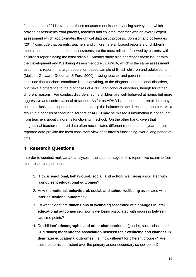Johnson et al. (2011) evaluates these measurement issues by using survey data which provide assessments from parents, teachers and children, together with an overall expert assessment which approximates the clinical diagnostic process. Johnson and colleagues (2011) conclude that parents, teachers and children are all biased reporters of children's mental health but that teacher assessments are the most reliable, followed by parents, with children's reports being the least reliable. Another study also addresses these issues with the Development and Wellbeing Assessment (i.e., DAWBA, which is the same assessment used in this report) in a large population-based sample of British children and adolescents (Meltzer, Gatward, Goodman & Ford, 2000). Using teacher and parent reports, the authors conclude that teachers contribute little, if anything, to the diagnosis of emotional disorders, but make a difference to the diagnoses of ADHD and conduct disorders, though for rather different reasons. For conduct disorders, some children are well-behaved at home, but more aggressive and confrontational at school. As far as ADHD is concerned, parental data may be inconclusive and input from teachers can tip the balance in one direction or another. As a result, a diagnosis of conduct disorders or ADHD may be missed if information is not sought from teachers about children's functioning in school. On the other hand, given that longitudinal teacher-reported data often necessitates different reporters each year, parentreported data provide the most consistent view of children's functioning over a long period of time.

## <span id="page-20-0"></span>**4 Research Questions**

In order to conduct multivariate analyses – the second stage of this report –we examine four main research questions:

- 1. How is **emotional, behavioural, social, and school wellbeing** associated with **concurrent educational outcomes**?
- 2. How is **emotional, behavioural, social, and school wellbeing** associated with **later educational outcomes**?
- 3. To what extent are **dimensions of wellbeing** associated with **changes in later educational outcomes** i.e., how is wellbeing associated with progress between two time points?
- 4. Do children's **demographic and other characteristics** (gender, social class, and SEN status) **moderate the association between their wellbeing and changes in their later educational outcomes** (i.e., how different for different groups)? Are these patterns consistent over the primary and/or secondary school period?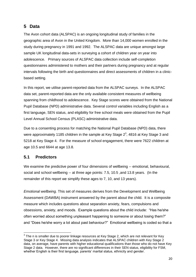## <span id="page-21-0"></span>**5 Data**

The Avon cohort data (ALSPAC) is an ongoing longitudinal study of families in the geographic area of Avon in the United Kingdom. More than 14,000 women enrolled in the study during pregnancy in 1991 and 1992. The ALSPAC data are unique amongst large sample UK longitudinal data-sets in surveying a cohort of children year on year into adolescence. Primary sources of ALSPAC data collection include self-completion questionnaires administered to mothers and their partners during pregnancy and at regular intervals following the birth and questionnaires and direct assessments of children in a clinicbased setting.

In this report, we utilise parent-reported data from the ALSPAC surveys. In the ALSPAC data set, parent-reported data are the only available consistent measures of wellbeing spanning from childhood to adolescence. Key Stage scores were obtained from the National Pupil Database (NPD) administrative data. Several control variables including English as a first language, SEN status, and eligibility for free school meals were obtained from the Pupil Level Annual School Census (PLASC) administrative data.

Due to a consenting process for matching the National Pupil Database (NPD) data, there were approximately 1185 children in the sample at Key Stage  $2^3$ , 4816 at Key Stage 3 and 5218 at Key Stage 4. For the measure of school engagement, there were 7622 children at age 10.5 and 6644 at age 13.8.

## <span id="page-21-1"></span>**5.1 Predictors**

We examine the predictive power of four dimensions of wellbeing -- emotional, behavioural, social and school wellbeing -- at three age points: 7.5, 10.5 ,and 13.8 years. (In the remainder of this report we simplify these ages to 7, 10, and 13 years).

*Emotional wellbeing.* This set of measures derives from the Development and Wellbeing Assessment (DAWBA) instrument answered by the parent about the child. It is a composite measure which includes questions about separation anxiety, fears, compulsions and obsessions, anxiety, and moods. Example questions about the child include: "Has he/she often worried about something unpleasant happening to someone or about losing them?" and "Does he/she worry a lot about past behaviour?" Emotional wellbeing is coded so that a

 3 The n is smaller due to poorer linkage resources at Key Stage 2, which are not relevant for Key Stage 3 or Key Stage 4. Missing data analysis indicates that ALSPAC children with Key Stage 2 data, on average, have parents with higher educational qualifications than those who do not have Key Stage 2 data. However, there are no significant differences in their SEN status, eligibility for FSM, whether English is their first language, parents' marital status, ethnicity and gender.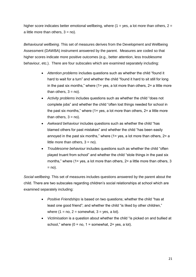higher score indicates better emotional wellbeing, where  $(1 = yes, a)$  lot more than others,  $2 =$ a little more than others,  $3 = no$ ).

*Behavioural wellbeing.* This set of measures derives from the Development and Wellbeing Assessment (DAWBA) instrument answered by the parent. Measures are coded so that higher scores indicate more positive outcomes (e.g., better attention, less troublesome behaviour, etc.). There are four subscales which are examined separately including:

- *Attention problems* includes questions such as whether the child "found it hard to wait for a turn" and whether the child "found it hard to sit still for long in the past six months," where  $(1=$  yes, a lot more than others,  $2=$  a little more than others,  $3 = no$ ).
- *Activity problems* includes questions such as whether the child "does not complete jobs" and whether the child "often lost things needed for school in the past six months," where  $(1=$  yes, a lot more than others,  $2=$  a little more than others,  $3 = no$ ).
- *Awkward behaviour* includes questions such as whether the child "has blamed others for past mistakes" and whether the child "has been easily annoyed in the past six months," where  $(1=$  yes, a lot more than others,  $2=$  a little more than others,  $3 = no$ ).
- *Troublesome behaviour* includes questions such as whether the child "often played truant from school" and whether the child "stole things in the past six months," where (1= yes, a lot more than others, 2= a little more than others, 3  $=$  no).

*Social wellbeing.* This set of measures includes questions answered by the parent about the child. There are two subscales regarding children's social relationships at school which are examined separately including:

- *Positive Friendships* is based on two questions; whether the child "has at least one good friend"; and whether the child "is liked by other children," where  $(1 = no, 2 = somewhat, 3 = yes, a lot).$
- *Victimisation* is a question about whether the child "is picked on and bullied at school," where  $(0 = no, 1 = somewhat, 2 = yes, a lot)$ .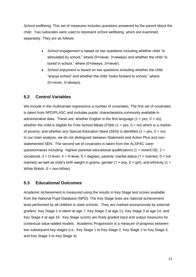*School wellbeing.* This set of measures includes questions answered by the parent about the child. Two subscales were used to represent school wellbeing, which are examined separately. They are as follows:

- *School engagement* is based on two questions including whether child "is stimulated by school," where (0=never, 3=always) and whether the child "is bored in school," where (0=always, 3=never).
- *School enjoyment* is based on two questions including whether the child "enjoys school" and whether the child "looks forward to school," where (0=never, 3=always).

## <span id="page-23-0"></span>**5.2 Control Variables**

We include in the multivariate regressions a number of covariates. The first set of covariates is taken from NPD/PLASC and includes pupils' characteristics commonly available in administrative data. These are: whether English is the first language  $(1 = yes, 0 = no)$ ; whether the child is eligible for Free School Meals (FSM) ( $1 = yes$ ,  $0 = no$ ) which is a marker of poverty; and whether any Special Education Need (SEN) is identified  $(1 = yes, 0 = no)$ . In our main analysis, we do not distinguish between Statement and Action Plus and nonstatemented SEN. The second set of covariates is taken from the ALSPAC carer questionnaires including: highest parental educational qualifications ( $1 = none/CSE$ ,  $2 =$ vocational,  $3 = O$ -level,  $4 = A$ -level,  $5 = degree$ ), parents' marital status (1 = married, 0 = not married) as well as child's birth weight in grams, gender (1 = boy, 0 = girl), and ethnicity (1 = White British,  $0 = \text{non-White}$ ).

## <span id="page-23-1"></span>**5.3 Educational Outcomes**

*Academic Achievement* is measured using the results in Key Stage test scores available from the National Pupil Database (NPD). The Key Stage tests are national achievement tests performed by all children in state schools. They are marked anonymously by external graders. Key Stage 1 is taken at age 7, Key Stage 2 at age 11, Key Stage 3 at age 14, and Key Stage 4 at age 16. Key Stage scores are finely graded input and output measures for contextual value-added models. Academic Progression is a measure of progress between two subsequent key stages (i.e., Key Stage 1 to Key Stage 2, Key Stage 2 to Key Stage 3, and Key Stage 3 to Key Stage 4).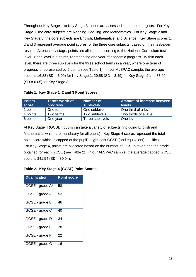Throughout Key Stage 1 to Key Stage 3, pupils are assessed in the core subjects. For Key Stage 1, the core subjects are Reading, Spelling, and Mathematics. For Key Stage 2 and Key Stage 3, the core subjects are English, Mathematics, and Science. Key Stage scores 1, 2 and 3 represent average point scores for the three core subjects, based on their test/exam results. At each key stage, points are allocated according to the National Curriculum test level. Each level is 6 points, representing one year of academic progress. Within each level, there are three sublevels for the three school terms in a year, where one term of progress is represented by 2 points (see Table 1). In our ALSPAC sample, the average score is 16.88 (SD = 3.09) for Key Stage 1, 29.58 (SD = 3.49) for Key Stage 2 and 37.09  $(SD = 6.05)$  for Key Stage 3.

#### **Table 1. Key Stage 1, 2 and 3 Point Scores**

| <b>Points</b><br>score | <b>Terms worth of</b><br><b>progress</b> | Number of<br><b>sublevels</b> | Amount of increase between<br><b>levels</b> |
|------------------------|------------------------------------------|-------------------------------|---------------------------------------------|
| 2 points               | One term                                 | One sublevel                  | One third of a level                        |
| 4 points               | Two terms                                | Two sublevels                 | Two thirds of a level                       |
| 6 points               | One year                                 | Three sublevels               | One level                                   |

At Key Stage 4 (GCSE), pupils can take a variety of subjects (including English and Mathematics which are mandatory for all pupils). Key Stage 4 scores represent the total point score which is capped at the pupil's eight best GCSE (and equivalent) qualifications. For Key Stage 4, points are allocated based on the number of GCSEs taken and the grade obtained for each GCSE (see Table 2). In our ALSPAC sample, the average capped GCSE score is  $341.54$  (SD =  $80.04$ ).

#### **Table 2. Key Stage 4 (GCSE) Point Scores**

| Qualification   | <b>Point score</b> |
|-----------------|--------------------|
| GCSE - grade A* | 58                 |
| GCSE - grade A  | 52                 |
| GCSE - grade B  | 46                 |
| GCSE - grade C  | 40                 |
| GCSE - grade D  | 34                 |
| GCSE - grade E  | 28                 |
| GCSE - grade F  | 22                 |
| GCSE - grade G  | 16                 |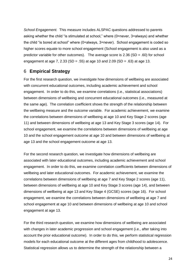*School Engagement.* This measure includes ALSPAC questions addressed to parents asking whether the child "is stimulated at school," where (0=never, 3=always) and whether the child "is bored at school" where (0=always, 3=never). School engagement is coded so higher scores equate to more school engagement (School engagement is also used as a predictor variable for other outcomes). The average score is  $2.36$  (SD = .60) for school engagement at age 7, 2.33 (SD = .55) at age 10 and 2.09 (SD = .63) at age 13.

## <span id="page-25-0"></span>6 **Empirical Strategy**

For the first research question, we investigate how dimensions of wellbeing are associated with concurrent educational outcomes, including academic achievement and school engagement. In order to do this, we examine correlations (i.e., statistical associations) between dimensions of wellbeing and concurrent educational outcomes (i.e., measured at the same age). The correlation coefficient shows the strength of the relationship between the wellbeing measure and the outcome variable. For academic achievement, we examine the correlations between dimensions of wellbeing at age 10 and Key Stage 2 scores (age 11) and between dimensions of wellbeing at age 13 and Key Stage 3 scores (age 14). For school engagement, we examine the correlations between dimensions of wellbeing at age 10 and the school engagement outcome at age 10 and between dimensions of wellbeing at age 13 and the school engagement outcome at age 13.

For the second research question, we investigate how dimensions of wellbeing are associated with later educational outcomes, including academic achievement and school engagement. In order to do this, we examine correlation coefficients between dimensions of wellbeing and later educational outcomes. For academic achievement, we examine the correlations between dimensions of wellbeing at age 7 and Key Stage 2 scores (age 11), between dimensions of wellbeing at age 10 and Key Stage 3 scores (age 14), and between dimensions of wellbeing at age 13 and Key Stage 4 (GCSE) scores (age 16). For school engagement, we examine the correlations between dimensions of wellbeing at age 7 and school engagement at age 10 and between dimensions of wellbeing at age 10 and school engagement at age 13.

For the third research question, we examine how dimensions of wellbeing are associated with changes in later academic progression and school engagement (i.e., after taking into account the prior educational outcome). In order to do this, we perform statistical regression models for each educational outcome at the different ages from childhood to adolescence. Statistical regression allows us to determine the strength of the relationship between a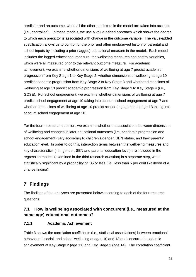predictor and an outcome, when all the other predictors in the model are taken into account (i.e., controlled). In these models, we use a value-added approach which shows the degree to which each predictor is associated with change in the outcome variable. The value-added specification allows us to control for the prior and often unobserved history of parental and school inputs by including a prior (lagged) educational measure in the model. Each model includes the lagged educational measure, the wellbeing measures and control variables, which were all measured prior to the relevant outcome measure. For academic achievement, we examine whether dimensions of wellbeing at age 7 predict academic progression from Key Stage 1 to Key Stage 2, whether dimensions of wellbeing at age 10 predict academic progression from Key Stage 2 to Key Stage 3 and whether dimensions of wellbeing at age 13 predict academic progression from Key Stage 3 to Key Stage 4 (i.e., GCSE). For school engagement, we examine whether dimensions of wellbeing at age 7 predict school engagement at age 10 taking into account school engagement at age 7 and whether dimensions of wellbeing at age 10 predict school engagement at age 13 taking into account school engagement at age 10.

For the fourth research question, we examine whether the associations between dimensions of wellbeing and changes in later educational outcomes (i.e., academic progression and school engagement) vary according to children's gender, SEN status, and their parents' education level. In order to do this, interaction terms between the wellbeing measures and key characteristics (i.e., gender, SEN and parents' education level) are included in the regression models (examined in the third research question) in a separate step, when statistically significant by a probability of .05 or less (i.e., less than 5 per cent likelihood of a chance finding).

## <span id="page-26-0"></span>**7 Findings**

The findings of the analyses are presented below according to each of the four research questions.

## <span id="page-26-1"></span>**7.1 How is wellbeing associated with concurrent (i.e., measured at the same age) educational outcomes?**

## <span id="page-26-2"></span>**7.1.1 Academic Achievement**

Table 3 shows the correlation coefficients (i.e., statistical associations) between emotional, behavioural, social, and school wellbeing at ages 10 and 13 and concurrent academic achievement at Key Stage 2 (age 11) and Key Stage 3 (age 14). The correlation coefficient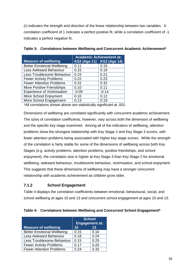(*r*) indicates the strength and direction of the linear relationship between two variables. A correlation coefficient of 1 indicates a perfect positive fit, while a correlation coefficient of -1 indicates a perfect negative fit.

|                                    | <b>Academic Achievement at:</b> |                           |
|------------------------------------|---------------------------------|---------------------------|
| <b>Measure of wellbeing</b>        |                                 | KS2 (Age 11) KS3 (Age 14) |
| <b>Better Emotional Wellbeing</b>  | 0.11                            | 0.15                      |
| <b>Less Awkward Behaviour</b>      | 0.15                            | 0.19                      |
| Less Troublesome Behaviour         | 0.15                            | 0.21                      |
| <b>Fewer Activity Problems</b>     | 0.22                            | 0.23                      |
| <b>Fewer Attention Problems</b>    | 0.31                            | 0.32                      |
| More Positive Friendships          | 0.10                            | 0.11                      |
| <b>Experience of Victimisation</b> | $-0.09$                         | $-0.14$                   |
| More School Enjoyment              | 0.10                            | 0.12                      |
| More School Engagement             | 0.13                            | 0.19                      |
|                                    |                                 |                           |

|  |  | Table 3: Correlations between Wellbeing and Concurrent Academic Achievement* |
|--|--|------------------------------------------------------------------------------|
|  |  |                                                                              |

\*All correlations shown above are statistically significant at .001.

Dimensions of wellbeing are correlated significantly with concurrent academic achievement. The sizes of correlation coefficients, however, vary across both the dimension of wellbeing and the specific key stage examined. Among all of the indicators of wellbeing, attention problems show the strongest relationship with Key Stage 2 and Key Stage 3 scores, with fewer attention problems being associated with higher key stage scores. While the strength of the correlation is fairly stable for some of the dimensions of wellbeing across both Key Stages (e.g. activity problems, attention problems, positive friendships, and school enjoyment), the correlation size is higher at Key Stage 3 than Key Stage 2 for emotional wellbeing, awkward behaviour, troublesome behaviour, victimisation, and school enjoyment. This suggests that these dimensions of wellbeing may have a stronger concurrent relationship with academic achievement as children grow older.

## <span id="page-27-0"></span>**7.1.2 School Engagement**

Table 4 displays the correlation coefficients between emotional, behavioural, social, and school wellbeing at ages 10 and 13 and concurrent school engagement at ages 10 and 13.

| Table 4: Correlations between Wellbeing and Concurrent School Engagement* |  |  |
|---------------------------------------------------------------------------|--|--|
|                                                                           |  |  |

|                                   | <b>School</b><br><b>Engagement at:</b> |      |
|-----------------------------------|----------------------------------------|------|
| <b>Measure of wellbeing</b>       | 10                                     | 13   |
| <b>Better Emotional Wellbeing</b> | 0.15                                   | 0.16 |
| <b>Less Awkward Behaviour</b>     | 0.18                                   | 0.24 |
| Less Troublesome Behaviour        | 0.15                                   | 0.25 |
| <b>Fewer Activity Problems</b>    | 0.17                                   | 0.20 |
| <b>Fewer Attention Problems</b>   | 0.24                                   | 0.32 |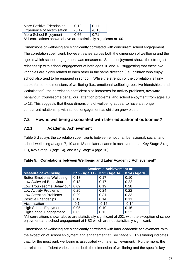| More Positive Friendships          | 0.12    | 0.11    |
|------------------------------------|---------|---------|
| <b>Experience of Victimisation</b> | $-0.12$ | $-0.10$ |
| More School Enjoyment              | 0.66    | 0.71    |
|                                    |         |         |

\*All correlations shown above are statistically significant at .001.

Dimensions of wellbeing are significantly correlated with concurrent school engagement. The correlation coefficient, however, varies across both the dimension of wellbeing and the age at which school engagement was measured. School enjoyment shows the strongest relationship with school engagement at both ages 10 and 13, suggesting that these two variables are highly related to each other in the same direction (i.e., children who enjoy school also tend to be engaged in school). While the strength of the correlation is fairly stable for some dimensions of wellbeing (i.e., emotional wellbeing, positive friendships, and victimisation), the correlation coefficient size increases for activity problems, awkward behaviour, troublesome behaviour, attention problems, and school enjoyment from ages 10 to 13. This suggests that these dimensions of wellbeing appear to have a stronger concurrent relationship with school engagement as children grow older.

## <span id="page-28-0"></span>**7.2 How is wellbeing associated with later educational outcomes?**

#### <span id="page-28-1"></span>**7.2.1 Academic Achievement**

Table 5 displays the correlation coefficients between emotional, behavioural, social, and school wellbeing at ages 7, 10 and 13 and later academic achievement at Key Stage 2 (age 11), Key Stage 3 (age 14), and Key Stage 4 (age 16).

|                                   | <b>Academic Achievement at:</b> |                           |                     |
|-----------------------------------|---------------------------------|---------------------------|---------------------|
| <b>Measure of wellbeing</b>       |                                 | KS2 (Age 11) KS3 (Age 14) | <b>KS4 (Age 16)</b> |
| <b>Better Emotional Wellbeing</b> | 0.13                            | 0.17                      | 0.10                |
| Low Awkward Behaviour             | 0.13                            | 0.17                      | 0.22                |
| Low Troublesome Behaviour         | 0.09                            | 0.19                      | 0.28                |
| <b>Low Activity Problems</b>      | 0.25                            | 0.24                      | 0.22                |
| <b>Low Attention Problems</b>     | 0.29                            | 0.31                      | 0.33                |
| <b>Positive Friendships</b>       | 0.12                            | 0.14                      | 0.11                |
| Victimisation                     | $-0.14$                         | $-0.16$                   | $-0.14$             |
| <b>High School Enjoyment</b>      | 0.05                            | 0.10                      | 0.16                |
| <b>High School Engagement</b>     | 0.05                            | 0.13                      | 0.22                |

| Table 5: Correlations between Wellbeing and Later Academic Achievement* |  |  |
|-------------------------------------------------------------------------|--|--|
|                                                                         |  |  |

\*All correlations shown above are statistically significant at .001 with the exception of school enjoyment and school engagement at KS2 which are not statistically significant.

Dimensions of wellbeing are significantly correlated with later academic achievement, with the exception of school enjoyment and engagement at Key Stage 2. This finding indicates that, for the most part, wellbeing is associated with later achievement. Furthermore, the correlation coefficient varies across both the dimension of wellbeing and the specific key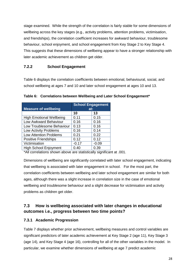stage examined. While the strength of the correlation is fairly stable for some dimensions of wellbeing across the key stages (e.g., activity problems, attention problems, victimisation, and friendships), the correlation coefficient increases for awkward behaviour, troublesome behaviour, school enjoyment, and school engagement from Key Stage 2 to Key Stage 4. This suggests that these dimensions of wellbeing appear to have a stronger relationship with later academic achievement as children get older.

## <span id="page-29-0"></span>**7.2.2 School Engagement**

Table 6 displays the correlation coefficients between emotional, behavioural, social, and school wellbeing at ages 7 and 10 and later school engagement at ages 10 and 13.

| <b>School Engagement</b><br><b>Measure of wellbeing</b><br>at: |         |         |  |
|----------------------------------------------------------------|---------|---------|--|
|                                                                | 10      | 13      |  |
| <b>High Emotional Wellbeing</b>                                | 0.11    | 0.15    |  |
| Low Awkward Behaviour                                          | 0.16    | 0.16    |  |
| Low Troublesome Behaviour                                      | 0.13    | 0.16    |  |
| <b>Low Activity Problems</b>                                   | 0.16    | 0.14    |  |
| <b>Low Attention Problems</b>                                  | 0.21    | 0.22    |  |
| Positive Friendships                                           | 0.12    | 0.12    |  |
| Victimisation                                                  | $-0.17$ | $-0.09$ |  |
| <b>High School Enjoyment</b>                                   | 0.40    | 0.39    |  |
| والمستحل والمستحل والمستحل والمستحدث                           |         |         |  |

**Table 6: Correlations between Wellbeing and Later School Engagement\*** 

\*All correlations shown above are statistically significant at .001.

Dimensions of wellbeing are significantly correlated with later school engagement, indicating that wellbeing is associated with later engagement in school. For the most part, the correlation coefficients between wellbeing and later school engagement are similar for both ages, although there was a slight increase in correlation size in the case of emotional wellbeing and troublesome behaviour and a slight decrease for victimisation and activity problems as children get older.

## <span id="page-29-1"></span>**7.3 How is wellbeing associated with later changes in educational outcomes i.e., progress between two time points?**

## <span id="page-29-2"></span>**7.3.1 Academic Progression**

Table 7 displays whether prior achievement, wellbeing measures and control variables are significant predictors of later academic achievement at Key Stage 2 (age 11), Key Stage 3 (age 14), and Key Stage 4 (age 16), controlling for all of the other variables in the model. In particular, we examine whether dimensions of wellbeing at age 7 predict academic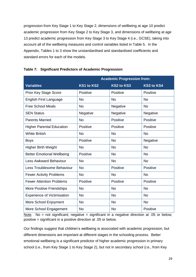progression from Key Stage 1 to Key Stage 2, dimensions of wellbeing at age 10 predict academic progression from Key Stage 2 to Key Stage 3, and dimensions of wellbeing at age 13 predict academic progression from Key Stage 3 to Key Stage 4 (i.e., GCSE), taking into account all of the wellbeing measures and control variables listed in Table 5. In the Appendix, Tables 1 to 3 show the unstandardised and standardised coefficients and standard errors for each of the models.

|                                    | <b>Academic Progression from:</b> |                   |                   |
|------------------------------------|-----------------------------------|-------------------|-------------------|
| <b>Variables</b>                   | <b>KS1 to KS2</b>                 | <b>KS2 to KS3</b> | <b>KS3 to KS4</b> |
| <b>Prior Key Stage Score</b>       | Positive                          | Positive          | Positive          |
| <b>English First Language</b>      | <b>No</b>                         | <b>No</b>         | <b>No</b>         |
| <b>Free School Meals</b>           | <b>No</b>                         | Negative          | <b>No</b>         |
| <b>SEN Status</b>                  | Negative                          | Negative          | Negative          |
| <b>Parents Married</b>             | <b>No</b>                         | Positive          | Positive          |
| <b>Higher Parental Education</b>   | Positive                          | Positive          | Positive          |
| <b>White British</b>               | <b>No</b>                         | <b>No</b>         | <b>No</b>         |
| <b>Boys</b>                        | Positive                          | <b>No</b>         | Negative          |
| Higher Birth Weight                | <b>No</b>                         | <b>No</b>         | <b>No</b>         |
| <b>Better Emotional Wellbeing</b>  | Positive                          | <b>No</b>         | <b>No</b>         |
| <b>Less Awkward Behaviour</b>      | <b>No</b>                         | <b>No</b>         | <b>No</b>         |
| Less Troublesome Behaviour         | <b>No</b>                         | Positive          | Positive          |
| <b>Fewer Activity Problems</b>     | <b>No</b>                         | <b>No</b>         | <b>No</b>         |
| <b>Fewer Attention Problems</b>    | Positive                          | Positive          | Positive          |
| More Positive Friendships          | <b>No</b>                         | <b>No</b>         | <b>No</b>         |
| <b>Experience of Victimisation</b> | <b>No</b>                         | <b>No</b>         | <b>No</b>         |
| More School Enjoyment              | <b>No</b>                         | <b>No</b>         | <b>No</b>         |
| More School Engagement             | <b>No</b>                         | <b>No</b>         | Positive          |

#### **Table 7: Significant Predictors of Academic Progression**

Note. No = not significant; negative = significant in a negative direction at .05 or below; positive = significant in a positive direction at .05 or below.

Our findings suggest that children's wellbeing is associated with academic progression, but different dimensions are important at different stages in the schooling process. Better emotional wellbeing is a significant predictor of higher academic progression in primary school (i.e., from Key Stage 1 to Key Stage 2), but not in secondary school (i.e., from Key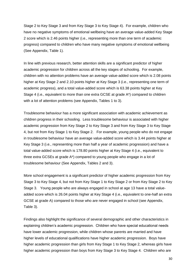Stage 2 to Key Stage 3 and from Key Stage 3 to Key Stage 4). For example, children who have no negative symptoms of emotional wellbeing have an average value-added Key Stage 2 score which is 2.46 points higher (i.e., representing more than one term of academic progress) compared to children who have many negative symptoms of emotional wellbeing (See Appendix, Table 1).

In line with previous research, better attention skills are a significant predictor of higher academic progression for children across all the key stages of schooling. For example, children with no attention problems have an average value-added score which is 2.08 points higher at Key Stage 2 and 2.10 points higher at Key Stage 3 (i.e., representing one term of academic progress), and a total value-added score which is 63.38 points higher at Key Stage 4 (i.e., equivalent to more than one extra GCSE at grade A\*) compared to children with a lot of attention problems (see Appendix, Tables 1 to 3).

Troublesome behaviour has a more significant association with academic achievement as children progress in their schooling. Less troublesome behaviour is associated with higher academic progression from Key Stage 2 to Key Stage 3 and from Key Stage 3 to Key Stage 4, but not from Key Stage 1 to Key Stage 2. For example, young people who do not engage in troublesome behaviour have an average value-added score which is 3.44 points higher at Key Stage 3 (i.e., representing more than half a year of academic progression) and have a total value-added score which is 178.80 points higher at Key Stage 4 (i.e., equivalent to three extra GCSEs at grade A\*) compared to young people who engage in a lot of troublesome behaviour (See Appendix, Tables 2 and 3).

More school engagement is a significant predictor of higher academic progression from Key Stage 3 to Key Stage 4, but not from Key Stage 1 to Key Stage 2 or from Key Stage 2 to Key Stage 3. Young people who are always engaged in school at age 13 have a total valueadded score which is 26.04 points higher at Key Stage 4 (i.e., equivalent to one-half an extra GCSE at grade A) compared to those who are never engaged in school (see Appendix, Table 3).

Findings also highlight the significance of several demographic and other characteristics in explaining children's academic progression. Children who have special educational needs have lower academic progression, while children whose parents are married and have higher levels of educational qualifications have higher academic progression. Boys have higher academic progression than girls from Key Stage 1 to Key Stage 2, whereas girls have higher academic progression than boys from Key Stage 3 to Key Stage 4. Children who are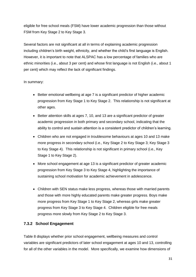eligible for free school meals (FSM) have lower academic progression than those without FSM from Key Stage 2 to Key Stage 3.

Several factors are not significant at all in terms of explaining academic progression including children's birth weight, ethnicity, and whether the child's first language is English. However, it is important to note that ALSPAC has a low percentage of families who are ethnic minorities (i.e., about 3 per cent) and whose first language is not English (i.e., about 1 per cent) which may reflect the lack of significant findings.

#### In summary:

- <span id="page-32-0"></span> Better emotional wellbeing at age 7 is a significant predictor of higher academic progression from Key Stage 1 to Key Stage 2. This relationship is not significant at other ages.
- Better attention skills at ages 7, 10, and 13 are a significant predictor of greater academic progression in both primary and secondary school, indicating that the ability to control and sustain attention is a consistent predictor of children's learning.
- Children who are not engaged in troublesome behaviours at ages 10 and 13 make more progress in secondary school (i.e., Key Stage 2 to Key Stage 3; Key Stage 3 to Key Stage 4).This relationship is not significant in primary school (i.e., Key Stage 1 to Key Stage 2).
- More school engagement at age 13 is a significant predictor of greater academic progression from Key Stage 3 to Key Stage 4, highlighting the importance of sustaining school motivation for academic achievement in adolescence.
- Children with SEN status make less progress, whereas those with married parents and those with more highly educated parents make greater progress. Boys make more progress from Key Stage 1 to Key Stage 2, whereas girls make greater progress from Key Stage 3 to Key Stage 4. Children eligible for free meals progress more slowly from Key Stage 2 to Key Stage 3.

## **7.3.2 School Engagement**

Table 8 displays whether prior school engagement, wellbeing measures and control variables are significant predictors of later school engagement at ages 10 and 13, controlling for all of the other variables in the model. More specifically, we examine how dimensions of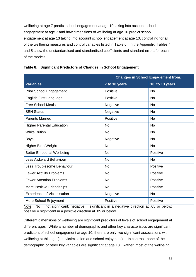wellbeing at age 7 predict school engagement at age 10 taking into account school engagement at age 7 and how dimensions of wellbeing at age 10 predict school engagement at age 13 taking into account school engagement at age 10, controlling for all of the wellbeing measures and control variables listed in Table 6. In the Appendix, Tables 4 and 5 show the unstandardised and standardised coefficients and standard errors for each of the models.

|                                    | <b>Changes in School Engagement from:</b> |                |  |
|------------------------------------|-------------------------------------------|----------------|--|
| <b>Variables</b>                   | 7 to 10 years                             | 10 to 13 years |  |
| <b>Prior School Engagement</b>     | Positive                                  | <b>No</b>      |  |
| <b>English First Language</b>      | Positive                                  | <b>No</b>      |  |
| <b>Free School Meals</b>           | Negative                                  | <b>No</b>      |  |
| <b>SEN Status</b>                  | Negative                                  | <b>No</b>      |  |
| <b>Parents Married</b>             | Positive                                  | <b>No</b>      |  |
| <b>Higher Parental Education</b>   | <b>No</b>                                 | <b>No</b>      |  |
| <b>White British</b>               | <b>No</b>                                 | <b>No</b>      |  |
| <b>Boys</b>                        | Negative                                  | <b>No</b>      |  |
| <b>Higher Birth Weight</b>         | <b>No</b>                                 | <b>No</b>      |  |
| <b>Better Emotional Wellbeing</b>  | <b>No</b>                                 | Positive       |  |
| <b>Less Awkward Behaviour</b>      | <b>No</b>                                 | <b>No</b>      |  |
| Less Troublesome Behaviour         | <b>No</b>                                 | Positive       |  |
| <b>Fewer Activity Problems</b>     | <b>No</b>                                 | Positive       |  |
| <b>Fewer Attention Problems</b>    | <b>No</b>                                 | Positive       |  |
| More Positive Friendships          | <b>No</b>                                 | Positive       |  |
| <b>Experience of Victimisation</b> | Negative                                  | <b>No</b>      |  |
| More School Enjoyment              | Positive                                  | Positive       |  |

#### **Table 8: Significant Predictors of Changes in School Engagement**

Note. No = not significant; negative = significant in a negative direction at .05 or below; positive = significant in a positive direction at .05 or below.

Different dimensions of wellbeing are significant predictors of levels of school engagement at different ages. While a number of demographic and other key characteristics are significant predictors of school engagement at age 10, there are only two significant associations with wellbeing at this age (i.e., victimisation and school enjoyment). In contrast, none of the demographic or other key variables are significant at age 13. Rather, most of the wellbeing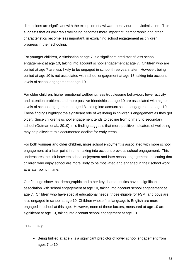dimensions are significant with the exception of awkward behaviour and victimisation. This suggests that as children's wellbeing becomes more important, demographic and other characteristics become less important, in explaining school engagement as children progress in their schooling.

For younger children, victimisation at age 7 is a significant predictor of less school engagement at age 10, taking into account school engagement at age 7. Children who are bullied at age 7 are less likely to be engaged in school three years later. However, being bullied at age 10 is not associated with school engagement at age 13, taking into account levels of school engagement at age 10.

For older children, higher emotional wellbeing, less troublesome behaviour, fewer activity and attention problems and more positive friendships at age 10 are associated with higher levels of school engagement at age 13, taking into account school engagement at age 10. These findings highlight the significant role of wellbeing in children's engagement as they get older. Since children's school engagement tends to decline from primary to secondary school (Gutman et al., 2010), this finding suggests that more positive indicators of wellbeing may help alleviate this documented decline for early teens.

For both younger and older children, more school enjoyment is associated with more school engagement at a later point in time, taking into account previous school engagement. This underscores the link between school enjoyment and later school engagement, indicating that children who enjoy school are more likely to be motivated and engaged in their school work at a later point in time.

Our findings show that demographic and other key characteristics have a significant association with school engagement at age 10, taking into account school engagement at age 7. Children who have special educational needs, those eligible for FSM, and boys are less engaged in school at age 10. Children whose first language is English are more engaged in school at this age. However, none of these factors, measured at age 10 are significant at age 13, taking into account school engagement at age 10.

In summary:

 Being bullied at age 7 is a significant predictor of lower school engagement from ages 7 to 10.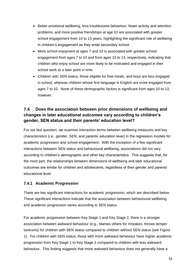- Better emotional wellbeing, less troublesome behaviour, fewer activity and attention problems, and more positive friendships at age 10 are associated with greater school engagement from 10 to 13 years, highlighting the significant role of wellbeing in children's engagement as they enter secondary school.
- More school enjoyment at ages 7 and 10 is associated with greater school engagement from ages 7 to 10 and from ages 10 to 13, respectively, indicating that children who enjoy school are more likely to be motivated and engaged in their school work at a later point in time.
- Children with SEN status, those eligible for free meals, and boys are less engaged in school, whereas children whose first language is English are more engaged from ages 7 to 10. None of these demographic factors is significant from ages 10 to 13, however.

## <span id="page-35-0"></span>**7.4 Does the association between prior dimensions of wellbeing and changes in later educational outcomes vary according to children's gender, SEN status and their parents' education level?**

For our last question, we examine interaction terms between wellbeing measures and key characteristics (i.e., gender, SEN, and parents' education level) in the regression models for academic progression and school engagement. With the exception of a few significant interactions between SEN status and behavioural wellbeing, associations did not vary according to children's demographic and other key characteristics. This suggests that, for the most part, the relationships between dimensions of wellbeing and later educational outcomes are similar for children and adolescents, regardless of their gender and parents' educational level.

## <span id="page-35-1"></span>**7.4.1 Academic Progression**

There are two significant interactions for academic progression, which are described below. These significant interactions indicate that the association between behavioural wellbeing and academic progression varies according to SEN status.

For academic progression between Key Stage 1 and Key Stage 2, there is a stronger association between awkward behaviour (e.g., blames others for mistakes, throws temper tantrums) for children with SEN status compared to children without SEN status (see Figure 1). For children with SEN status, those with more awkward behaviour have higher academic progression from Key Stage 1 to Key Stage 2 compared to children with less awkward behaviour. This finding suggests that more awkward behaviour does not generally have a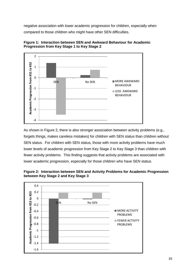negative association with lower academic progression for children, especially when compared to those children who might have other SEN difficulties.





As shown in Figure 2, there is also stronger association between activity problems (e.g., forgets things, makes careless mistakes) for children with SEN status than children without SEN status. For children with SEN status, those with more activity problems have much lower levels of academic progression from Key Stage 2 to Key Stage 3 than children with fewer activity problems. This finding suggests that activity problems are associated with lower academic progression, especially for those children who have SEN status.



**Figure 2: Interaction between SEN and Activity Problems for Academic Progression between Key Stage 2 and Key Stage 3**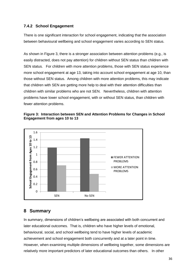### <span id="page-37-0"></span>**7.4.2 School Engagement**

There is one significant interaction for school engagement, indicating that the association between behavioural wellbeing and school engagement varies according to SEN status.

As shown in Figure 3, there is a stronger association between attention problems (e.g., is easily distracted, does not pay attention) for children without SEN status than children with SEN status. For children with more attention problems, those with SEN status experience more school engagement at age 13, taking into account school engagement at age 10, than those without SEN status. Among children with more attention problems, this may indicate that children with SEN are getting more help to deal with their attention difficulties than children with similar problems who are not SEN. Nevertheless, children with attention problems have lower school engagement, with or without SEN status, than children with fewer attention problems.





## <span id="page-37-1"></span>**8 Summary**

In summary, dimensions of children's wellbeing are associated with both concurrent and later educational outcomes. That is, children who have higher levels of emotional, behavioural, social, and school wellbeing tend to have higher levels of academic achievement and school engagement both concurrently and at a later point in time. However, when examining multiple dimensions of wellbeing together, some dimensions are relatively more important predictors of later educational outcomes than others. In other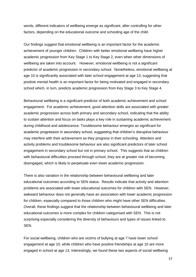words, different indicators of wellbeing emerge as significant, after controlling for other factors, depending on the educational outcome and schooling age of the child.

Our findings suggest that emotional wellbeing is an important factor for the academic achievement of younger children. Children with better emotional wellbeing have higher academic progression from Key Stage 1 to Key Stage 2, even when other dimensions of wellbeing are taken into account. However, emotional wellbeing is not a significant predictor of academic progression in secondary school. Nonetheless, emotional wellbeing at age 10 is significantly associated with later school engagement at age 13, suggesting that positive mental health is an important factor for being motivated and engaged in secondary school which, in turn, predicts academic progression from Key Stage 3 to Key Stage 4.

Behavioural wellbeing is a significant predictor of both academic achievement and school engagement. For academic achievement, good attention skills are associated with greater academic progression across both primary and secondary school, indicating that the ability to sustain attention and focus on tasks plays a key role in sustaining academic achievement during childhood and adolescence. Troublesome behaviour emerges as significant for academic progression in secondary school, suggesting that children's disruptive behaviour may interfere with their achievement as they progress in their schooling. Attention and activity problems and troublesome behaviour are also significant predictors of later school engagement in secondary school but not in primary school. This suggests that as children with behavioural difficulties proceed through school, they are at greater risk of becoming disengaged, which is likely to perpetuate even lower academic progression.

There is also variation in the relationship between behavioural wellbeing and later educational outcomes according to SEN status. Results indicate that activity and attention problems are associated with lower educational outcomes for children with SEN. However, awkward behaviour does not generally have an association with lower academic progression for children, especially compared to those children who might have other SEN difficulties. Overall, these findings suggest that the relationship between behavioural wellbeing and later educational outcomes is more complex for children categorised with SEN. This is not surprising especially considering the diversity of behaviours and types of issues linked to SEN.

For social wellbeing, children who are victims of bullying at age 7 have lower school engagement at age 10, while children who have positive friendships at age 10 are more engaged in school at age 13. Interestingly, we found these two aspects of social wellbeing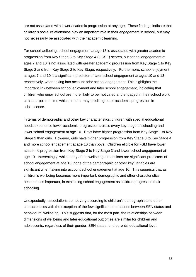are not associated with lower academic progression at any age. These findings indicate that children's social relationships play an important role in their engagement in school, but may not necessarily be associated with their academic learning.

For school wellbeing, school engagement at age 13 is associated with greater academic progression from Key Stage 3 to Key Stage 4 (GCSE) scores, but school engagement at ages 7 and 10 is not associated with greater academic progression from Key Stage 1 to Key Stage 2 and from Key Stage 2 to Key Stage, respectively. Furthermore, school enjoyment at ages 7 and 10 is a significant predictor of later school engagement at ages 10 and 13, respectively, when taking into account prior school engagement. This highlights the important link between school enjoyment and later school engagement, indicating that children who enjoy school are more likely to be motivated and engaged in their school work at a later point in time which, in turn, may predict greater academic progression in adolescence.

In terms of demographic and other key characteristics, children with special educational needs experience lower academic progression across every key stage of schooling and lower school engagement at age 10. Boys have higher progression from Key Stage 1 to Key Stage 2 than girls. However, girls have higher progression from Key Stage 3 to Key Stage 4 and more school engagement at age 10 than boys. Children eligible for FSM have lower academic progression from Key Stage 2 to Key Stage 3 and lower school engagement at age 10. Interestingly, while many of the wellbeing dimensions are significant predictors of school engagement at age 13, none of the demographic or other key variables are significant when taking into account school engagement at age 10. This suggests that as children's wellbeing becomes more important, demographic and other characteristics become less important, in explaining school engagement as children progress in their schooling.

<span id="page-39-0"></span>Unexpectedly, associations do not vary according to children's demographic and other characteristics with the exception of the few significant interactions between SEN status and behavioural wellbeing. This suggests that, for the most part, the relationships between dimensions of wellbeing and later educational outcomes are similar for children and adolescents, regardless of their gender, SEN status, and parents' educational level.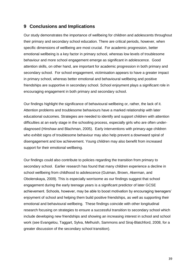## **9 Conclusions and Implications**

Our study demonstrates the importance of wellbeing for children and adolescents throughout their primary and secondary school education. There are critical periods, however, when specific dimensions of wellbeing are most crucial. For academic progression, better emotional wellbeing is a key factor in primary school, whereas low levels of troublesome behaviour and more school engagement emerge as significant in adolescence. Good attention skills, on other hand, are important for academic progression in both primary and secondary school. For school engagement, victimisation appears to have a greater impact in primary school, whereas better emotional and behavioural wellbeing and positive friendships are supportive in secondary school. School enjoyment plays a significant role in encouraging engagement in both primary and secondary school.

Our findings highlight the significance of behavioural wellbeing or, rather, the lack of it. Attention problems and troublesome behaviours have a marked relationship with later educational outcomes. Strategies are needed to identify and support children with attention difficulties at an early stage in the schooling process, especially girls who are often underdiagnosed (Hinshaw and Blachman, 2005). Early interventions with primary-age children who exhibit signs of troublesome behaviour may also help prevent a downward spiral of disengagement and low achievement. Young children may also benefit from increased support for their emotional wellbeing.

Our findings could also contribute to policies regarding the transition from primary to secondary school. Earlier research has found that many children experience a decline in school wellbeing from childhood to adolescence (Gutman, Brown, Akerman, and Obolenskaya, 2009). This is especially worrisome as our findings suggest that school engagement during the early teenage years is a significant predictor of later GCSE achievement. Schools, however, may be able to boost motivation by encouraging teenagers' enjoyment of school and helping them build positive friendships, as well as supporting their emotional and behavioural wellbeing. These findings coincide with other longitudinal research focusing on strategies to ensure a successful transition to secondary school which include developing new friendships and showing an increasing interest in school and school work (see Evangelou, Taggart, Sylva, Melhuish, Sammons and Siraj-Blatchford, 2008, for a greater discussion of the secondary school transition).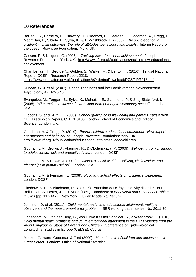## <span id="page-41-0"></span>**10 References**

Barreau, S., Carneiro, P., Chowdry, H., Crawford, C., Dearden, L., Goodman, A., Gregg, P., Macmillan, L., Sibieta, L., Sylva, K., & L. Washbrook, L. (2008). *The socio-economic gradient in child outcomes: the role of attitudes, behaviours and beliefs*. Interim Report for the Joseph Rowntree Foundation: York, UK.

Cassen, R. & Kingdon, G. (2007). *Tackling low educational achievement*. Joseph Rowntree Foundation: York, UK. [http://www.jrf.org.uk/publications/tackling-low-educational](http://www.jrf.org.uk/publications/tackling-low-educational-achievement)[achievement.](http://www.jrf.org.uk/publications/tackling-low-educational-achievement)

Chamberlain, T., George N., Golden, S., Walker, F., & Benton, T. (2010). Tellus4 National Report. DCSF: Research Report 2218. [https://www.education.gov.uk/publications/eOrderingDownload/DCSF-RR218.pdf](https://mail.ioe.ac.uk/owa/redir.aspx?C=35c203d82e784237968e2af7764735aa&URL=https%3a%2f%2fwww.education.gov.uk%2fpublications%2feOrderingDownload%2fDCSF-RR218.pdf)

Duncan, G. J. et al. (2007). School readiness and later achievement. *Developmental Psychology, 43*, 1428-46.

Evangelou, M., Taggart, B., Sylva, K., Melhuish, E., Sammons, P. & Siraj-Blatchford, I. (2008). *What makes a successful transition from primary to secondary school?* London: DCSF.

Gibbons, S. and Silva, O. (2008). *School quality, child well being and parents' satisfaction*. CEE Discussion Papers, CEEDP0103. London School of Economics and Political Science, London, UK.

Goodman, A. & Gregg, P. (2010). *Poorer children's educational attainment: How important are attitudes and behaviour?* Joseph Rowntree Foundation: York, UK. http://www.jrf.org.uk/publications/educational-attainment-poor-children

Gutman, L.M., Brown, J., Akerman, R., & Obolenskaya, P. (2009). *Well-being from childhood to adolescence: risk and protective factors*. London: DCSF.

Gutman, L.M. & Brown, J. (2008). *Children's social worlds: Bullying, victimization, and friendships in primary school*. London: DCSF.

Gutman, L.M. & Feinstein, L. (2008). *Pupil and school effects on children's well-being*. London: DCSF.

Hinshaw, S. P., & Blachman, D. R. (2005). Attention-deficit/hyperactivity disorder. In D. Bell-Dolan, S. Foster, & E. J. Mash (Eds.), *Handbook of Behavioral and Emotional Problems in Girls* (pp. 117-147). New York: Kluwer Academic/Plenum.

Johnston, D. et al. (2011). *Child mental health and educational attainment: multiple observers and the measurement error problem*. ISER working paper series, No. 2011-20.

Lindeboom, M., van den Berg, G., von Hinke Kessler Scholder, S., & Washbrook, E. (2010). *Child mental health problems and youth educational attainment in the UK: Evidence from the Avon Longitudinal Study of Parents and Children*. Conference of Epidemiological Longitudinal Studies in Europe (CELSE): Cyprus.

Meltzer, Gatward, Goodman & Ford (2000). *Mental health of children and adolescents in Great Britain*. London: Office of National Statistics.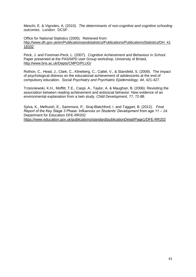Meschi, E. & Vignoles, A. (2010). *The determinants of non-cognitive and cognitive schooling outcomes*. London: DCSF.

Office for National Statistics (2005). Retrieved from: [http://www.dh.gov.uk/en/Publicationsandstatistics/Publications/PublicationsStatistics/DH\\_41](http://www.dh.gov.uk/en/Publicationsandstatistics/Publications/PublicationsStatistics/DH_4118332) [18332](http://www.dh.gov.uk/en/Publicationsandstatistics/Publications/PublicationsStatistics/DH_4118332)

Peck, J. and Foreman-Peck, L. (2007). *Cognitive Achievement and Behaviour in School*. Paper presented at the PAS/NPD user Group workshop, University of Bristol, <http://www.bris.ac.uk/Depts/CMPO/PLUG/>

Rothon, C., Head, J., Clark, C., Klineberg, C., Cattel, V., & Stansfeld, S. (2009). The impact of psychological distress on the educational achievement of adolescents at the end of compulsory education. *Social Psychiatry and Psychiatric Epidemiology, 44*, 421-427.

Trzesniewski, K.H., Moffitt, T.E., Caspi, A., Taylor, A. & Maughan, B. (2006). Revisiting the association between reading achievement and antisocial behavior: New evidence of an environmental explanation from a twin study. *Child Development*, 77, 72-88.

Sylva, K., Melhuish, E., Sammons, P., Siraj-Blatchford, I. and Taggart, B. (2012). *Final Report of the Key Stage 3 Phase: Influences on Students' Development from age 11 – 14.*  Department for Education DFE-RR202

[https://www.education.gov.uk/publications/standard/publicationDetail/Page1/DFE-RR202](https://mail.ioe.ac.uk/owa/redir.aspx?C=35c203d82e784237968e2af7764735aa&URL=https%3a%2f%2fwww.education.gov.uk%2fpublications%2fstandard%2fpublicationDetail%2fPage1%2fDFE-RR202)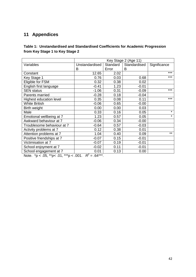# <span id="page-43-0"></span>**11 Appendices**

## **Table 1: Unstandardised and Standardised Coefficients for Academic Progression from Key Stage 1 to Key Stage 2**

|                            | Key Stage 2 (Age 11) |          |              |              |
|----------------------------|----------------------|----------|--------------|--------------|
| Variables                  | Unstandardised       | Standard | Standardised | Significance |
|                            | В                    | Error    | B            |              |
| Constant                   | 12.65                | 2.02     |              | $***$        |
| Key Stage 1                | 0.76                 | 0.03     | 0.68         | ***          |
| Eligible for FSM           | 0.32                 | 0.38     | 0.02         |              |
| English first language     | $-0.41$              | 1.23     | $-0.01$      |              |
| <b>SEN</b> status          | $-1.06$              | 0.31     | $-0.09$      | $***$        |
| Parents married            | $-0.28$              | 0.18     | $-0.04$      |              |
| Highest education level    | 0.35                 | 0.08     | 0.11         | $***$        |
| <b>White British</b>       | $-0.06$              | 0.65     | $-0.00$      |              |
| Birth weight               | 0.00                 | 0.00     | 0.03         |              |
| Male                       | 0.33                 | 0.16     | 0.05         | $\star$      |
| Emotional wellbeing at 7   | 1.23                 | 0.57     | 0.05         | $\star$      |
| Awkward behaviour at 7     | $-0.06$              | 0.34     | $-0.00$      |              |
| Troublesome behaviour at 7 | $-0.64$              | 0.57     | $-0.03$      |              |
| Activity problems at 7     | 0.12                 | 0.38     | 0.01         |              |
| Attention problems at 7    | 1.04                 | 0.40     | 0.09         | $***$        |
| Positive friendships at 7  | $-0.07$              | 0.15     | $-0.01$      |              |
| Victimisation at 7         | $-0.07$              | 0.19     | $-0.01$      |              |
| School enjoyment at 7      | $-0.02$              | 0.11     | $-0.01$      |              |
| School engagement at 7     | 0.01                 | 0.13     | 0.00         |              |

Note.  $^*p$  < .05,  $^*p$  < .01,  $^{**p}$  < .001.  $R^2 = .64^{***}$ .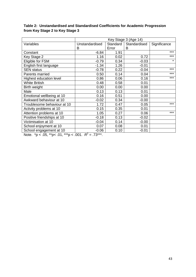|                |                                       | Key Stage 3 (Age 14) |              |  |  |
|----------------|---------------------------------------|----------------------|--------------|--|--|
| Unstandardised | Standard                              | Standardised         | Significance |  |  |
| B              | Error                                 | B                    |              |  |  |
| $-6.84$        | 1.91                                  |                      | $***$        |  |  |
| 1.16           | 0.02                                  | 0.72                 | ***          |  |  |
| $-0.79$        | 0.34                                  | $-0.03$              | $\star$      |  |  |
| $-1.34$        | 1.26                                  | $-0.01$              |              |  |  |
| $-0.78$        | 0.22                                  | $-0.04$              | $***$        |  |  |
| 0.50           | 0.14                                  | 0.04                 | $***$        |  |  |
| 0.86           | 0.06                                  | 0.16                 | ***          |  |  |
| 0.48           | 0.58                                  | 0.01                 |              |  |  |
| 0.00           | 0.00                                  | 0.00                 |              |  |  |
| 0.13           | 0.13                                  | 0.01                 |              |  |  |
| 0.16           | 0.51                                  | 0.00                 |              |  |  |
| $-0.02$        | 0.34                                  | $-0.00$              |              |  |  |
| 1.72           | 0.47                                  | 0.05                 | $***$        |  |  |
| 0.15           | 0.35                                  | 0.01                 |              |  |  |
| 1.05           | 0.27                                  | 0.06                 | $***$        |  |  |
| $-0.18$        | 0.13                                  | $-0.02$              |              |  |  |
| $-0.04$        | 0.14                                  | $-0.00$              |              |  |  |
| 0.07           | 0.08                                  | 0.01                 |              |  |  |
| $-0.06$        | 0.10                                  | $-0.01$              |              |  |  |
|                | रू<br>$\sim$ $\sim$ $\sim$<br>$70***$ |                      |              |  |  |

## **Table 2: Unstandardised and Standardised Coefficients for Academic Progression from Key Stage 2 to Key Stage 3**

Note.  $^*p$  < .05,  $^{**}p$  < .01,  $^{***}p$  < .001.  $R^2$  = .73\*\*\*.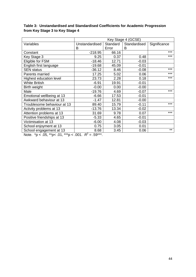|                                                                 | Key Stage 4 (GCSE) |          |              |              |
|-----------------------------------------------------------------|--------------------|----------|--------------|--------------|
| Variables                                                       | Unstandardised     | Standard | Standardised | Significance |
|                                                                 | B                  | Error    | B            |              |
| Constant                                                        | $-218.95$          | 66.16    |              | $***$        |
| Key Stage 3                                                     | 9.25               | 0.37     | 0.48         | ***          |
| Eligible for FSM                                                | $-18.46$           | 12.71    | $-0.03$      |              |
| English first language                                          | $-19.68$           | 45.09    | $-0.01$      |              |
| <b>SEN</b> status                                               | $-36.12$           | 8.46     | $-0.08$      | ***          |
| Parents married                                                 | 17.25              | 5.02     | 0.06         | $***$        |
| <b>Highest education level</b>                                  | 23.73              | 2.28     | 0.18         | $***$        |
| <b>White British</b>                                            | $-6.91$            | 19.91    | $-0.01$      |              |
| Birth weight                                                    | $-0.00$            | 0.00     | $-0.00$      |              |
| Male                                                            | $-19.76$           | 4.69     | $-0.07$      | ***          |
| Emotional wellbeing at 13                                       | $-6.66$            | 17.53    | $-0.01$      |              |
| Awkward behaviour at 13                                         | $-1.47$            | 12.81    | $-0.00$      |              |
| Troublesome behaviour at 13                                     | 89.40              | 15.79    | $-0.11$      | ***          |
| Activity problems at 13                                         | $-13.76$           | 13.34    | $-0.02$      |              |
| Attention problems at 13                                        | 31.69              | 9.78     | 0.07         | ***          |
| Positive friendships at 13                                      | $-5.33$            | 4.65     | $-0.01$      |              |
| Victimisation at 13                                             | $-6.00$            | 4.08     | $-0.03$      |              |
| School enjoyment at 13                                          | 0.75               | 3.05     | 0.01         |              |
| School engagement at 13                                         | 8.68               | 3.45     | 0.06         | $***$        |
| $\mathsf{P}^2$<br>$\mathbf{N}$<br>0 <sup>A</sup><br>$F^{\star}$ |                    |          |              |              |

## **Table 3: Unstandardised and Standardised Coefficients for Academic Progression from Key Stage 3 to Key Stage 4**

Note.  $^*p < .05$ ,  $^{**}p < .01$ ,  $^{***}p < .001$ .  $R^2 = .59^{***}$ .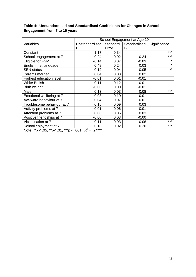|                            | School Engagement at Age 10 |          |              |              |
|----------------------------|-----------------------------|----------|--------------|--------------|
| Variables                  | Unstandardised              | Standard | Standardised | Significance |
|                            | В                           | Error    | B            |              |
| Constant                   | 1.17                        | 0.34     |              | ***          |
| School engagement at 7     | 0.24                        | 0.02     | 0.24         | ***          |
| Eligible for FSM           | $-0.14$                     | 0.07     | $-0.03$      | $\star$      |
| English first language     | 0.48                        | 0.24     | 0.03         | $\star$      |
| <b>SEN status</b>          | $-0.12$                     | 0.04     | $-0.05$      | $***$        |
| Parents married            | 0.04                        | 0.03     | 0.02         |              |
| Highest education level    | $-0.01$                     | 0.01     | $-0.01$      |              |
| <b>White British</b>       | $-0.11$                     | 0.12     | $-0.01$      |              |
| Birth weight               | $-0.00$                     | 0.00     | $-0.01$      |              |
| Male                       | $-0.13$                     | 0.03     | $-0.08$      | $***$        |
| Emotional wellbeing at 7   | 0.03                        | 0.10     | 0.01         |              |
| Awkward behaviour at 7     | 0.04                        | 0.07     | 0.01         |              |
| Troublesome behaviour at 7 | 0.15                        | 0.09     | 0.03         |              |
| Activity problems at 7     | 0.01                        | 0.06     | $-0.01$      |              |
| Attention problems at 7    | 0.08                        | 0.06     | 0.03         |              |
| Positive friendships at 7  | $-0.00$                     | 0.03     | $-0.00$      |              |
| Victimisation at 7         | $-0.11$                     | 0.03     | $-0.06$      | ***          |
| School enjoyment at 7      | 0.18                        | 0.02     | 0.20         | ***          |

## **Table 4: Unstandardised and Standardised Coefficients for Changes in School Engagement from 7 to 10 years**

Note.  $^*p$  < .05,  $^*p$  < .01,  $^{***}p$  < .001.  $R^2$  = .24 $^{***}$ .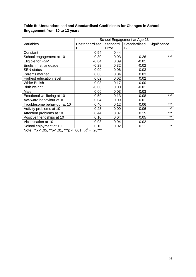|                             | School Engagement at Age 13 |          |              |              |
|-----------------------------|-----------------------------|----------|--------------|--------------|
| Variables                   | Unstandardised              | Standard | Standardised | Significance |
|                             | В                           | Error    | B            |              |
| Constant                    | $-0.54$                     | 0.44     |              |              |
| School engagement at 10     | 0.30                        | 0.03     | 0.26         | ***          |
| Eligible for FSM            | $-0.04$                     | 0.09     | $-0.01$      |              |
| English first language      | $-0.28$                     | 0.32     | $-0.02$      |              |
| <b>SEN</b> status           | 0.09                        | 0.06     | 0.03         |              |
| Parents married             | 0.06                        | 0.04     | 0.03         |              |
| Highest education level     | 0.02                        | 0.02     | 0.02         |              |
| <b>White British</b>        | $-0.03$                     | 0.17     | $-0.00$      |              |
| Birth weight                | $-0.00$                     | 0.00     | $-0.01$      |              |
| Male                        | $-0.06$                     | 0.03     | $-0.03$      |              |
| Emotional wellbeing at 10   | 0.59                        | 0.13     | 0.08         | $***$        |
| Awkward behaviour at 10     | 0.04                        | 0.09     | 0.01         |              |
| Troublesome behaviour at 10 | 0.40                        | 0.12     | 0.06         | ***          |
| Activity problems at 10     | 0.23                        | 0.09     | 0.06         | $***$        |
| Attention problems at 10    | 0.44                        | 0.07     | 0.15         | $***$        |
| Positive friendships at 10  | 0.10                        | 0.04     | 0.05         | $***$        |
| Victimisation at 10         | 0.03                        | 0.04     | 0.02         |              |
| School enjoyment at 10      | 0.10                        | 0.02     | 0.11         | $***$        |

## **Table 5: Unstandardised and Standardised Coefficients for Changes in School Engagement from 10 to 13 years**

Note.  $^*p$  < .05,  $^*p$  < .01,  $^{**}p$  < .001.  $R^2$  = .20 $^{***}$ .